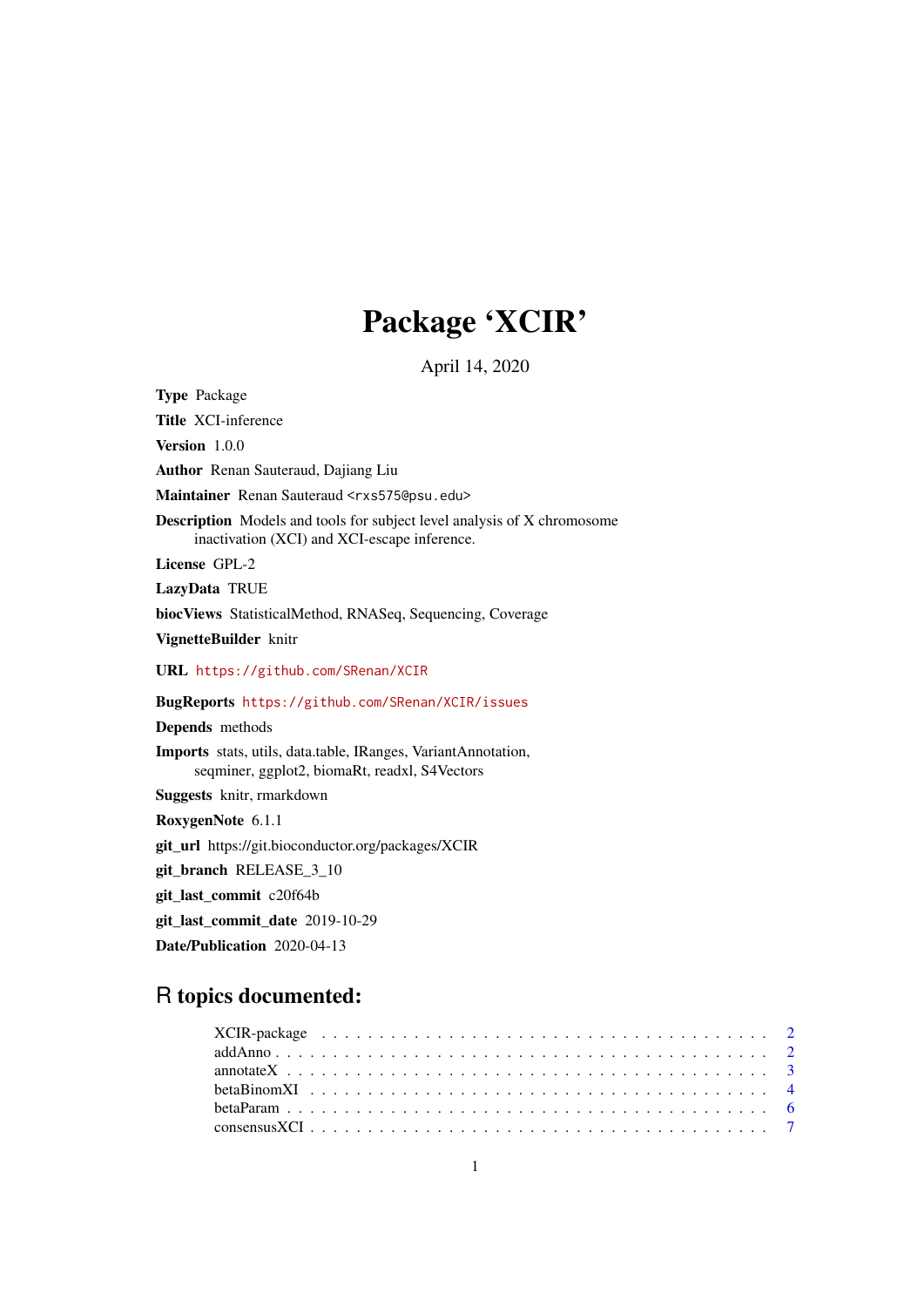## Package 'XCIR'

April 14, 2020

Type Package

Title XCI-inference

Version 1.0.0

Author Renan Sauteraud, Dajiang Liu

Maintainer Renan Sauteraud <rxs575@psu.edu>

Description Models and tools for subject level analysis of X chromosome inactivation (XCI) and XCI-escape inference.

License GPL-2

LazyData TRUE

biocViews StatisticalMethod, RNASeq, Sequencing, Coverage

VignetteBuilder knitr

URL <https://github.com/SRenan/XCIR>

BugReports <https://github.com/SRenan/XCIR/issues>

Depends methods

Imports stats, utils, data.table, IRanges, VariantAnnotation, seqminer, ggplot2, biomaRt, readxl, S4Vectors

Suggests knitr, rmarkdown

RoxygenNote 6.1.1

git\_url https://git.bioconductor.org/packages/XCIR

git\_branch RELEASE\_3\_10

git\_last\_commit c20f64b

git\_last\_commit\_date 2019-10-29

Date/Publication 2020-04-13

### R topics documented: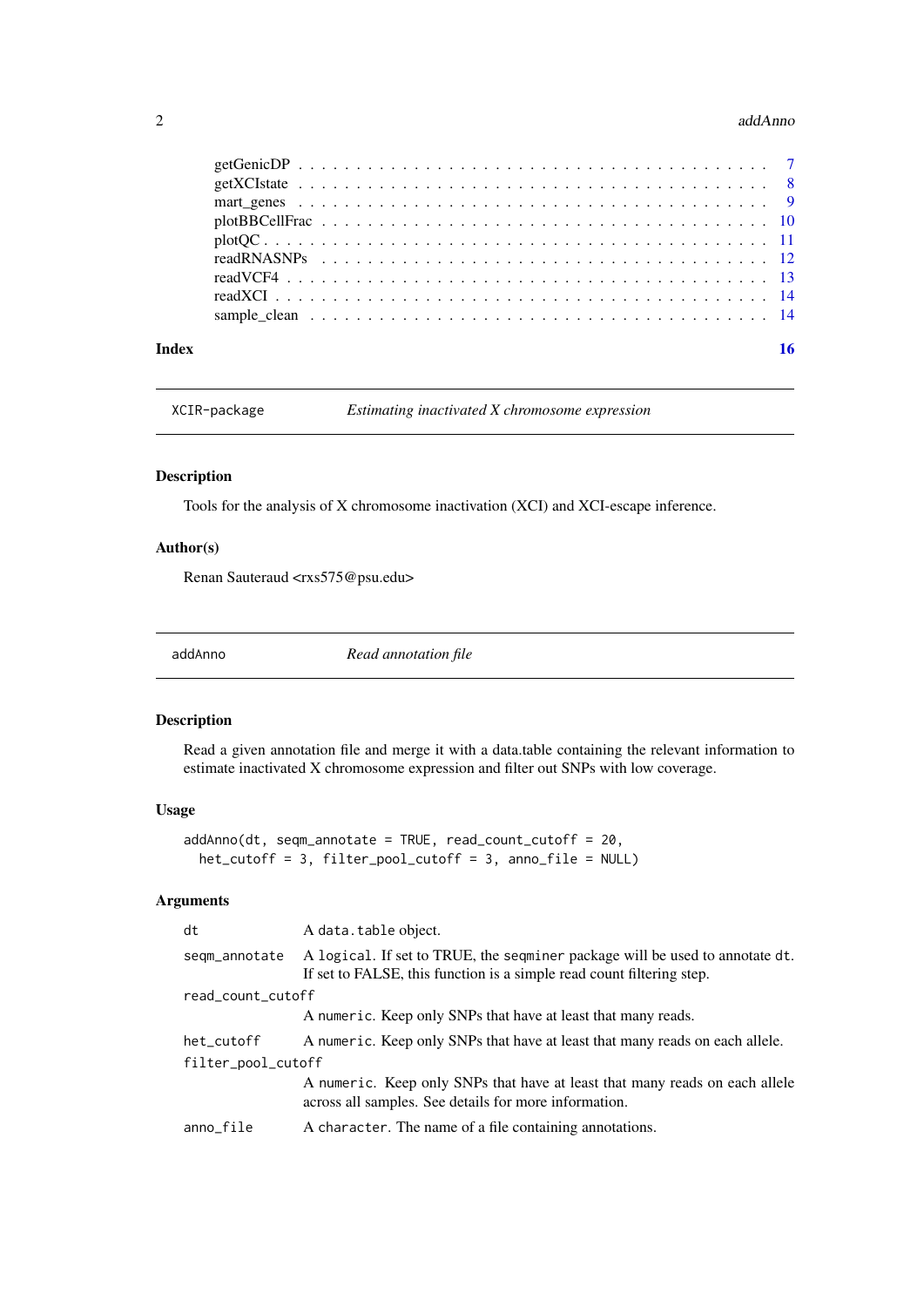#### <span id="page-1-0"></span> $2\,$  addAnno

| Index |  |
|-------|--|
|       |  |
|       |  |
|       |  |
|       |  |
|       |  |
|       |  |
|       |  |
|       |  |
|       |  |

XCIR-package *Estimating inactivated X chromosome expression*

#### Description

Tools for the analysis of X chromosome inactivation (XCI) and XCI-escape inference.

#### Author(s)

Renan Sauteraud <rxs575@psu.edu>

addAnno *Read annotation file*

#### Description

Read a given annotation file and merge it with a data.table containing the relevant information to estimate inactivated X chromosome expression and filter out SNPs with low coverage.

#### Usage

```
addAnno(dt, seqm_annotate = TRUE, read_count_cutoff = 20,
 het_cutoff = 3, filter_pool_cutoff = 3, anno_file = NULL)
```
#### Arguments

| dt                 | A data.table object.                                                                                                                                  |  |  |
|--------------------|-------------------------------------------------------------------------------------------------------------------------------------------------------|--|--|
| segm_annotate      | A logical. If set to TRUE, the seqminer package will be used to annotate dt.<br>If set to FALSE, this function is a simple read count filtering step. |  |  |
| read_count_cutoff  |                                                                                                                                                       |  |  |
|                    | A numeric. Keep only SNPs that have at least that many reads.                                                                                         |  |  |
| het_cutoff         | A numeric. Keep only SNPs that have at least that many reads on each allele.                                                                          |  |  |
| filter_pool_cutoff |                                                                                                                                                       |  |  |
|                    | A numeric. Keep only SNPs that have at least that many reads on each allele<br>across all samples. See details for more information.                  |  |  |
| anno_file          | A character. The name of a file containing annotations.                                                                                               |  |  |
|                    |                                                                                                                                                       |  |  |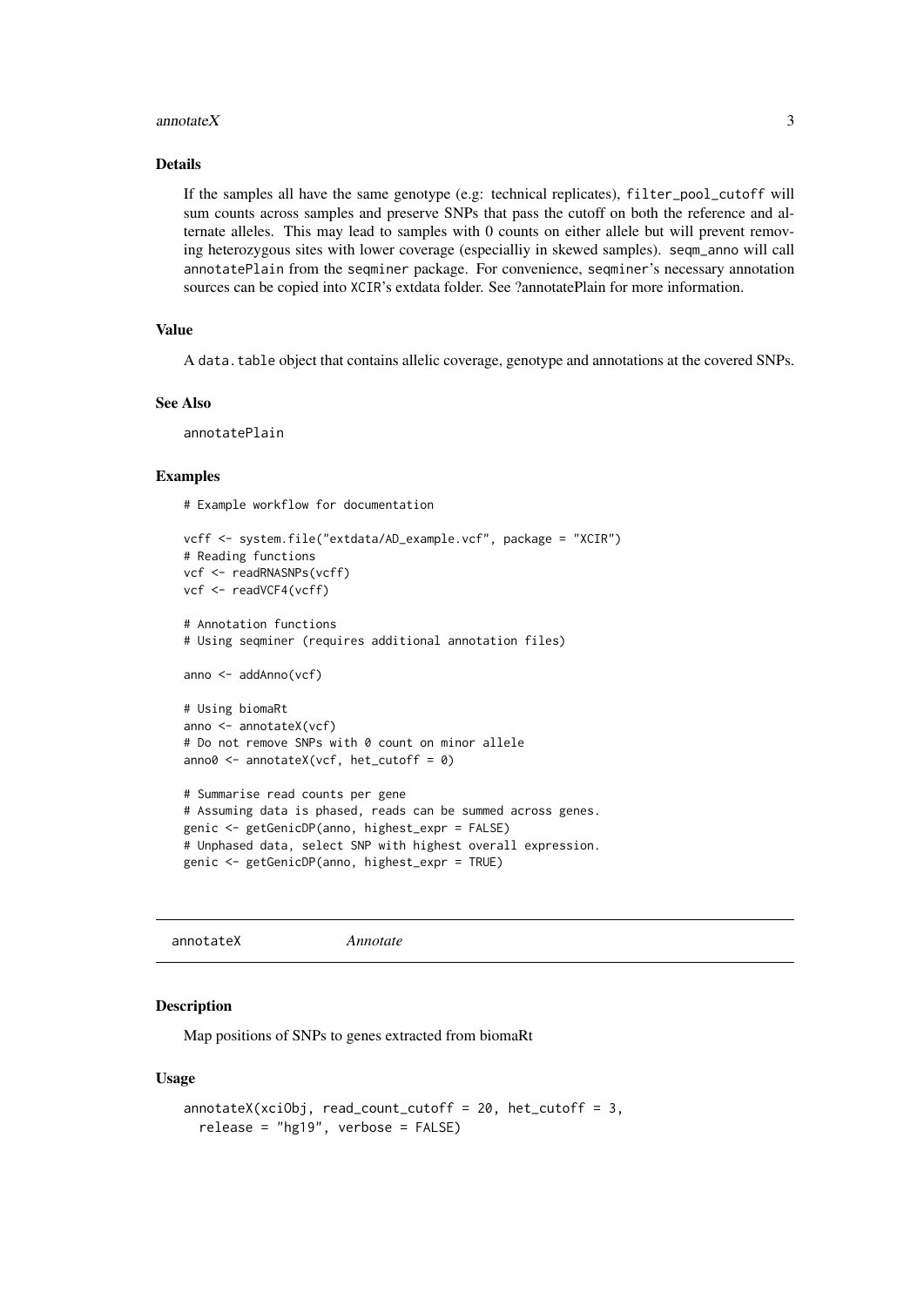#### <span id="page-2-0"></span>annotate  $X$  3

#### Details

If the samples all have the same genotype (e.g: technical replicates), filter\_pool\_cutoff will sum counts across samples and preserve SNPs that pass the cutoff on both the reference and alternate alleles. This may lead to samples with 0 counts on either allele but will prevent removing heterozygous sites with lower coverage (especialliy in skewed samples). seqm\_anno will call annotatePlain from the seqminer package. For convenience, seqminer's necessary annotation sources can be copied into XCIR's extdata folder. See ?annotatePlain for more information.

#### Value

A data.table object that contains allelic coverage, genotype and annotations at the covered SNPs.

#### See Also

annotatePlain

#### Examples

# Example workflow for documentation

```
vcff <- system.file("extdata/AD_example.vcf", package = "XCIR")
# Reading functions
vcf <- readRNASNPs(vcff)
vcf <- readVCF4(vcff)
# Annotation functions
# Using seqminer (requires additional annotation files)
anno <- addAnno(vcf)
# Using biomaRt
anno <- annotateX(vcf)
# Do not remove SNPs with 0 count on minor allele
anno0 \le annotateX(vcf, het_cutoff = 0)
# Summarise read counts per gene
# Assuming data is phased, reads can be summed across genes.
genic <- getGenicDP(anno, highest_expr = FALSE)
# Unphased data, select SNP with highest overall expression.
genic <- getGenicDP(anno, highest_expr = TRUE)
```
annotateX *Annotate*

#### Description

Map positions of SNPs to genes extracted from biomaRt

#### Usage

```
annotateX(xciObj, read_count_cutoff = 20, het_cutoff = 3,
 release = "hg19", verbose = FALSE)
```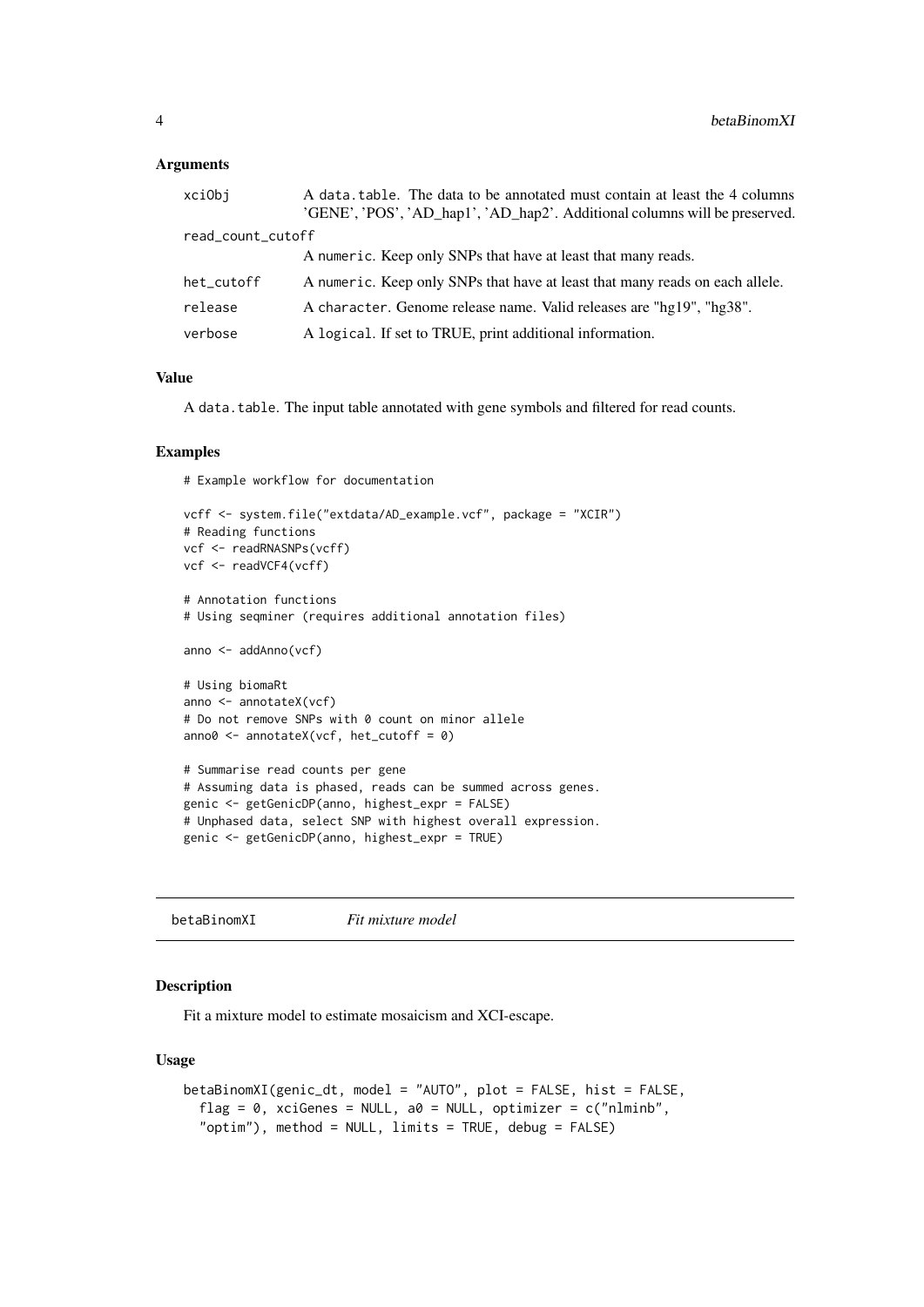#### <span id="page-3-0"></span>Arguments

| xciObj            | A data table. The data to be annotated must contain at least the 4 columns<br>'GENE', 'POS', 'AD_hap1', 'AD_hap2'. Additional columns will be preserved. |
|-------------------|----------------------------------------------------------------------------------------------------------------------------------------------------------|
| read_count_cutoff |                                                                                                                                                          |
|                   | A numeric. Keep only SNPs that have at least that many reads.                                                                                            |
| het_cutoff        | A numeric. Keep only SNPs that have at least that many reads on each allele.                                                                             |
| release           | A character. Genome release name. Valid releases are "hg19", "hg38".                                                                                     |
| verbose           | A logical. If set to TRUE, print additional information.                                                                                                 |
|                   |                                                                                                                                                          |

#### Value

A data.table. The input table annotated with gene symbols and filtered for read counts.

#### Examples

# Example workflow for documentation

```
vcff <- system.file("extdata/AD_example.vcf", package = "XCIR")
# Reading functions
vcf <- readRNASNPs(vcff)
vcf <- readVCF4(vcff)
# Annotation functions
# Using seqminer (requires additional annotation files)
anno <- addAnno(vcf)
# Using biomaRt
anno <- annotateX(vcf)
# Do not remove SNPs with 0 count on minor allele
anno0 \le annotateX(vcf, het_cutoff = 0)
# Summarise read counts per gene
# Assuming data is phased, reads can be summed across genes.
genic <- getGenicDP(anno, highest_expr = FALSE)
# Unphased data, select SNP with highest overall expression.
genic <- getGenicDP(anno, highest_expr = TRUE)
```
betaBinomXI *Fit mixture model*

#### Description

Fit a mixture model to estimate mosaicism and XCI-escape.

#### Usage

```
betaBinomXI(genic_dt, model = "AUTO", plot = FALSE, hist = FALSE,
  flag = 0, xciGenes = NULL, a0 = NULL, optimizer = c("nlminb",
  "optim"), method = NULL, limits = TRUE, debug = FALSE)
```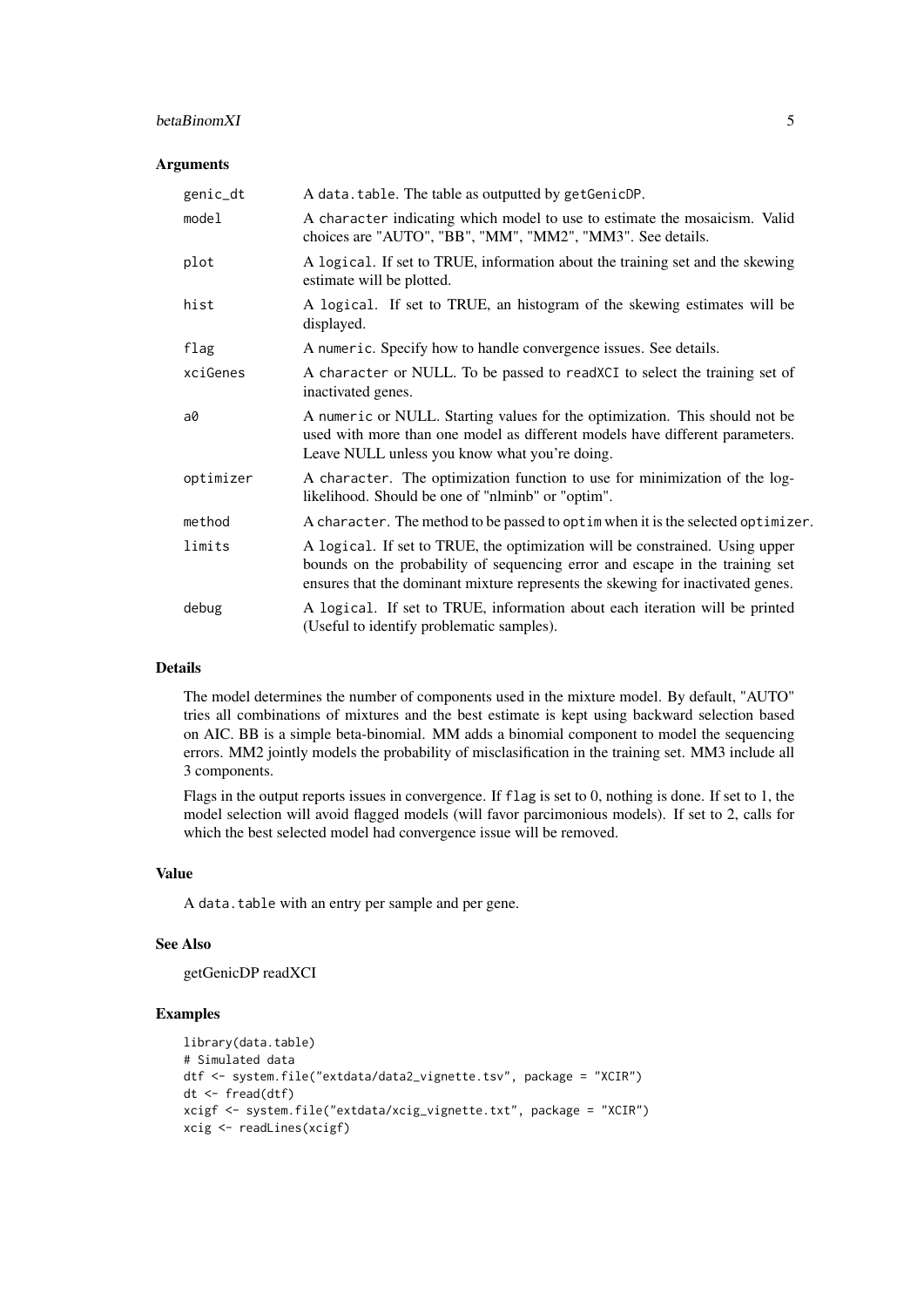#### betaBinomXI 5

#### Arguments

| genic_dt  | A data. table. The table as outputted by getGenicDP.                                                                                                                                                                                            |
|-----------|-------------------------------------------------------------------------------------------------------------------------------------------------------------------------------------------------------------------------------------------------|
| model     | A character indicating which model to use to estimate the mosaicism. Valid<br>choices are "AUTO", "BB", "MM", "MM2", "MM3". See details.                                                                                                        |
| plot      | A logical. If set to TRUE, information about the training set and the skewing<br>estimate will be plotted.                                                                                                                                      |
| hist      | A logical. If set to TRUE, an histogram of the skewing estimates will be<br>displayed.                                                                                                                                                          |
| flag      | A numeric. Specify how to handle convergence issues. See details.                                                                                                                                                                               |
| xciGenes  | A character or NULL. To be passed to readXCI to select the training set of<br>inactivated genes.                                                                                                                                                |
| a0        | A numeric or NULL. Starting values for the optimization. This should not be<br>used with more than one model as different models have different parameters.<br>Leave NULL unless you know what you're doing.                                    |
| optimizer | A character. The optimization function to use for minimization of the log-<br>likelihood. Should be one of "nlminb" or "optim".                                                                                                                 |
| method    | A character. The method to be passed to optim when it is the selected optimizer.                                                                                                                                                                |
| limits    | A logical. If set to TRUE, the optimization will be constrained. Using upper<br>bounds on the probability of sequencing error and escape in the training set<br>ensures that the dominant mixture represents the skewing for inactivated genes. |
| debug     | A logical. If set to TRUE, information about each iteration will be printed<br>(Useful to identify problematic samples).                                                                                                                        |

#### Details

The model determines the number of components used in the mixture model. By default, "AUTO" tries all combinations of mixtures and the best estimate is kept using backward selection based on AIC. BB is a simple beta-binomial. MM adds a binomial component to model the sequencing errors. MM2 jointly models the probability of misclasification in the training set. MM3 include all 3 components.

Flags in the output reports issues in convergence. If flag is set to 0, nothing is done. If set to 1, the model selection will avoid flagged models (will favor parcimonious models). If set to 2, calls for which the best selected model had convergence issue will be removed.

#### Value

A data.table with an entry per sample and per gene.

#### See Also

getGenicDP readXCI

```
library(data.table)
# Simulated data
dtf <- system.file("extdata/data2_vignette.tsv", package = "XCIR")
dt <- fread(dtf)
xcigf <- system.file("extdata/xcig_vignette.txt", package = "XCIR")
xcig <- readLines(xcigf)
```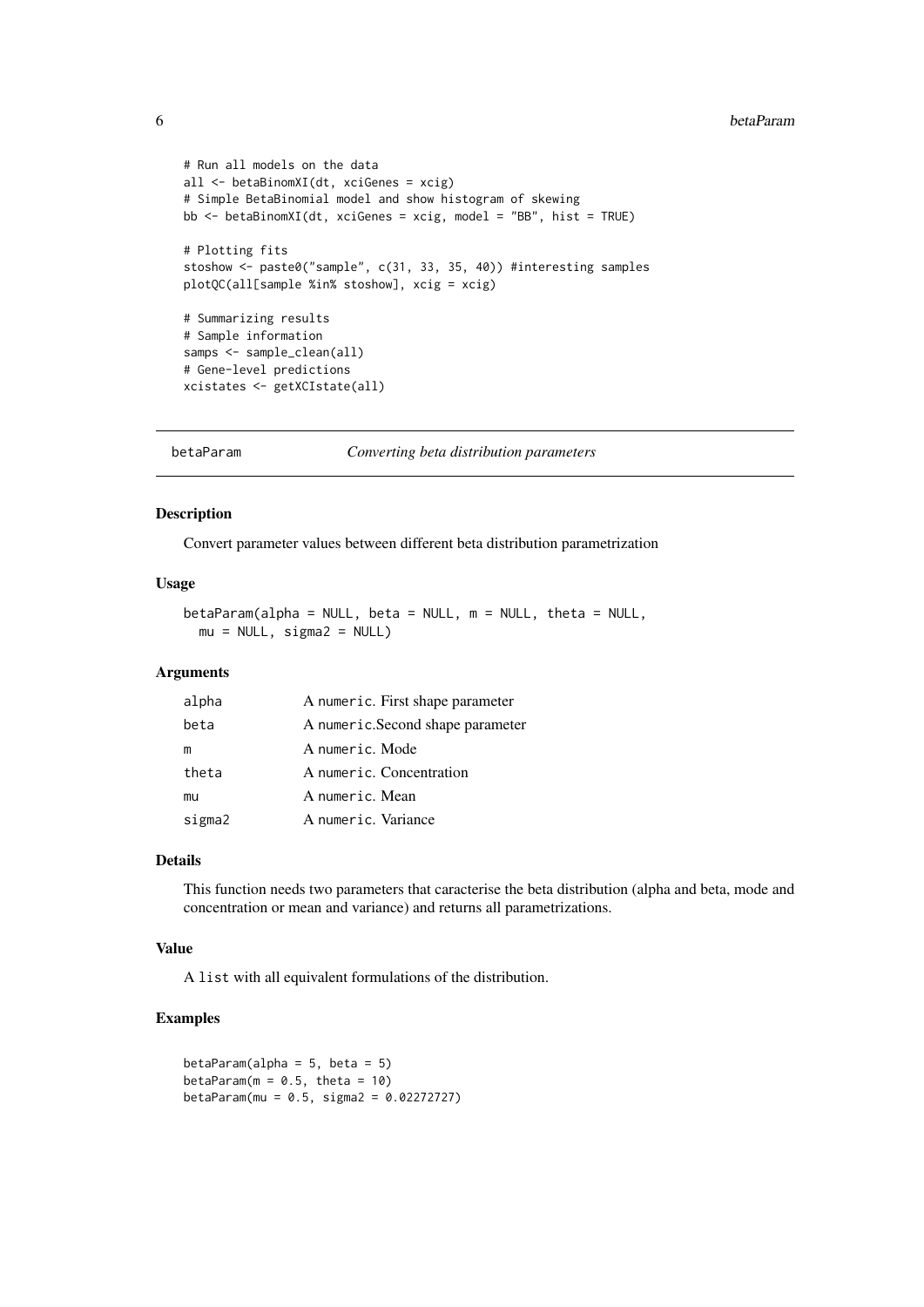```
# Run all models on the data
all <- betaBinomXI(dt, xciGenes = xcig)
# Simple BetaBinomial model and show histogram of skewing
bb <- betaBinomXI(dt, xciGenes = xcig, model = "BB", hist = TRUE)
# Plotting fits
stoshow <- paste0("sample", c(31, 33, 35, 40)) #interesting samples
plotQC(all[sample %in% stoshow], xcig = xcig)
# Summarizing results
# Sample information
samps <- sample_clean(all)
# Gene-level predictions
xcistates <- getXCIstate(all)
```
betaParam *Converting beta distribution parameters*

#### Description

Convert parameter values between different beta distribution parametrization

#### Usage

```
betaParam(alpha = NULL, beta = NULL, m = NULL, theta = NULL,
 mu = NULL, sigma2 = NULL)
```
#### Arguments

| alpha  | A numeric. First shape parameter |
|--------|----------------------------------|
| beta   | A numeric.Second shape parameter |
| m      | A numeric. Mode                  |
| theta  | A numeric. Concentration         |
| mu     | A numeric. Mean                  |
| sigma2 | A numeric. Variance              |

#### Details

This function needs two parameters that caracterise the beta distribution (alpha and beta, mode and concentration or mean and variance) and returns all parametrizations.

#### Value

A list with all equivalent formulations of the distribution.

```
betaParam(alpha = 5, beta = 5)
betaParam(m = 0.5, theta = 10)
betaParam(mu = 0.5, sigma2 = 0.02272727)
```
<span id="page-5-0"></span>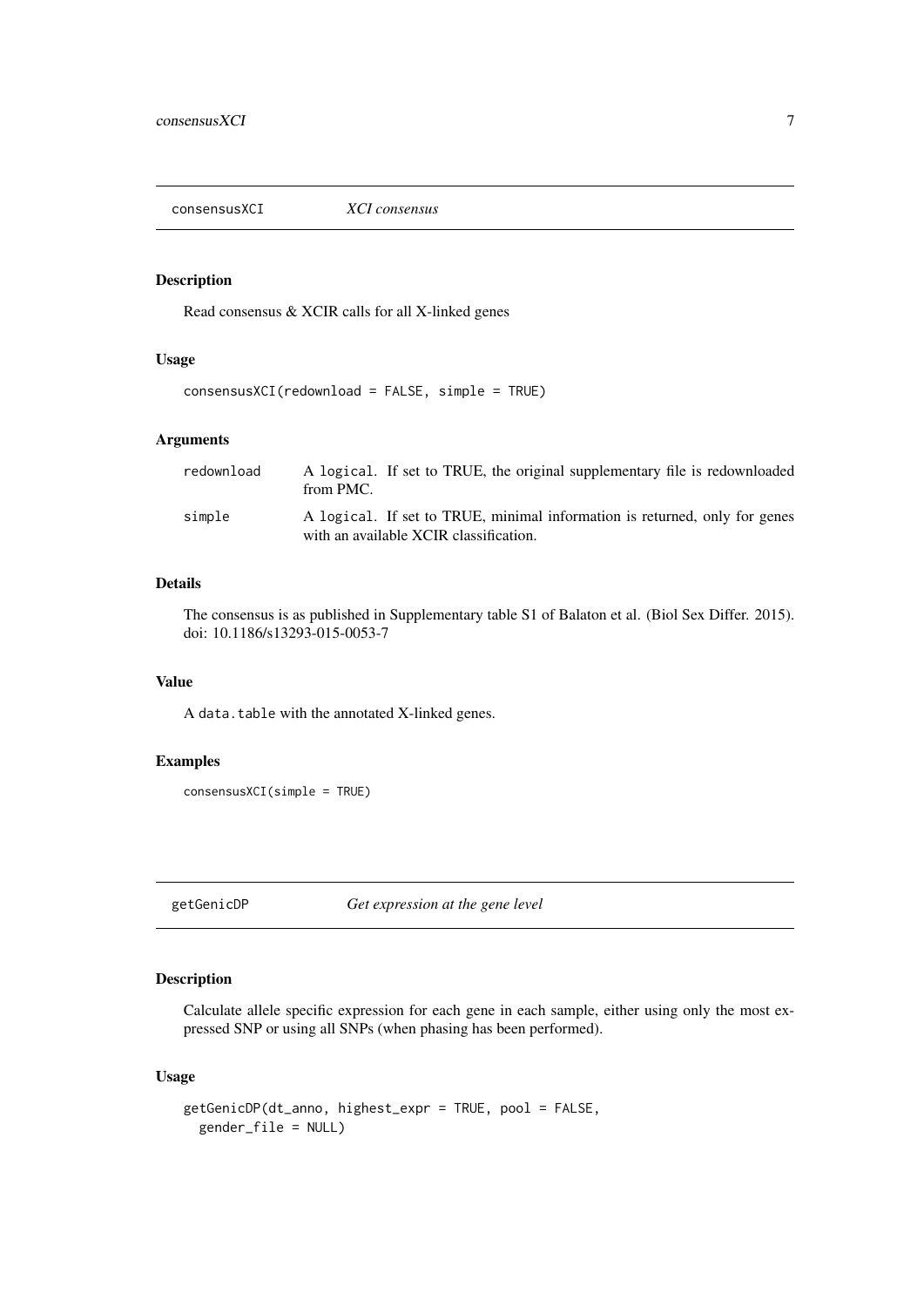<span id="page-6-0"></span>consensusXCI *XCI consensus*

#### Description

Read consensus & XCIR calls for all X-linked genes

#### Usage

```
consensusXCI(redownload = FALSE, simple = TRUE)
```
#### Arguments

| redownload | A logical. If set to TRUE, the original supplementary file is redownloaded<br>from PMC.                              |
|------------|----------------------------------------------------------------------------------------------------------------------|
| simple     | A logical. If set to TRUE, minimal information is returned, only for genes<br>with an available XCIR classification. |

#### Details

The consensus is as published in Supplementary table S1 of Balaton et al. (Biol Sex Differ. 2015). doi: 10.1186/s13293-015-0053-7

#### Value

A data.table with the annotated X-linked genes.

#### Examples

consensusXCI(simple = TRUE)

getGenicDP *Get expression at the gene level*

#### Description

Calculate allele specific expression for each gene in each sample, either using only the most expressed SNP or using all SNPs (when phasing has been performed).

#### Usage

```
getGenicDP(dt_anno, highest_expr = TRUE, pool = FALSE,
 gender_file = NULL)
```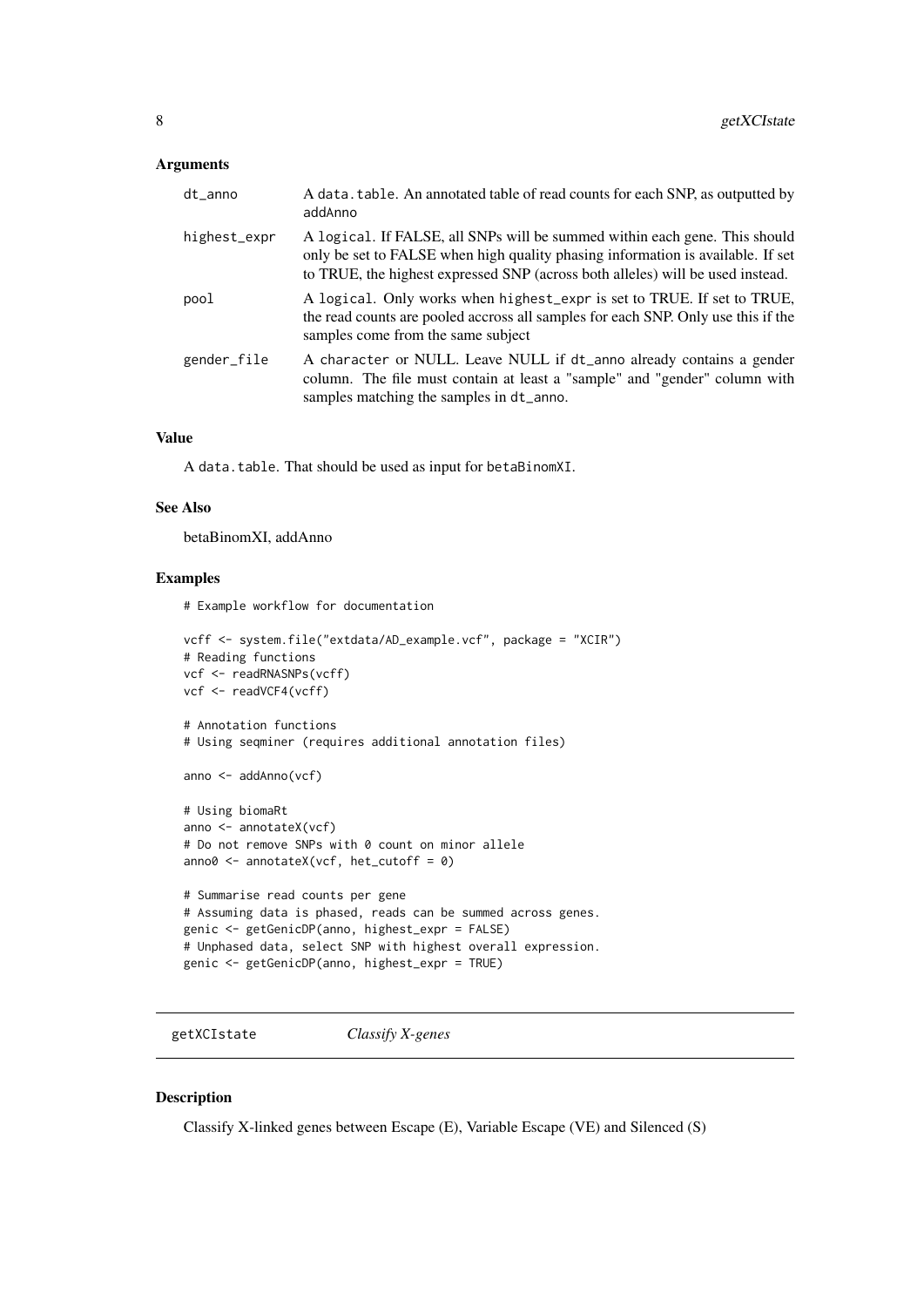#### <span id="page-7-0"></span>Arguments

| dt_anno      | A data. table. An annotated table of read counts for each SNP, as outputted by<br>addAnno                                                                                                                                                       |
|--------------|-------------------------------------------------------------------------------------------------------------------------------------------------------------------------------------------------------------------------------------------------|
| highest_expr | A logical. If FALSE, all SNPs will be summed within each gene. This should<br>only be set to FALSE when high quality phasing information is available. If set<br>to TRUE, the highest expressed SNP (across both alleles) will be used instead. |
| pool         | A logical. Only works when highest_expr is set to TRUE. If set to TRUE,<br>the read counts are pooled accross all samples for each SNP. Only use this if the<br>samples come from the same subject                                              |
| gender_file  | A character or NULL. Leave NULL if dt_anno already contains a gender<br>column. The file must contain at least a "sample" and "gender" column with<br>samples matching the samples in dt_anno.                                                  |

#### Value

A data.table. That should be used as input for betaBinomXI.

#### See Also

betaBinomXI, addAnno

#### Examples

# Example workflow for documentation

```
vcff <- system.file("extdata/AD_example.vcf", package = "XCIR")
# Reading functions
vcf <- readRNASNPs(vcff)
vcf <- readVCF4(vcff)
# Annotation functions
# Using seqminer (requires additional annotation files)
anno <- addAnno(vcf)
# Using biomaRt
anno <- annotateX(vcf)
# Do not remove SNPs with 0 count on minor allele
anno0 \le - annotateX(vcf, het_cutoff = 0)
# Summarise read counts per gene
# Assuming data is phased, reads can be summed across genes.
genic <- getGenicDP(anno, highest_expr = FALSE)
# Unphased data, select SNP with highest overall expression.
genic <- getGenicDP(anno, highest_expr = TRUE)
```
getXCIstate *Classify X-genes*

#### Description

Classify X-linked genes between Escape (E), Variable Escape (VE) and Silenced (S)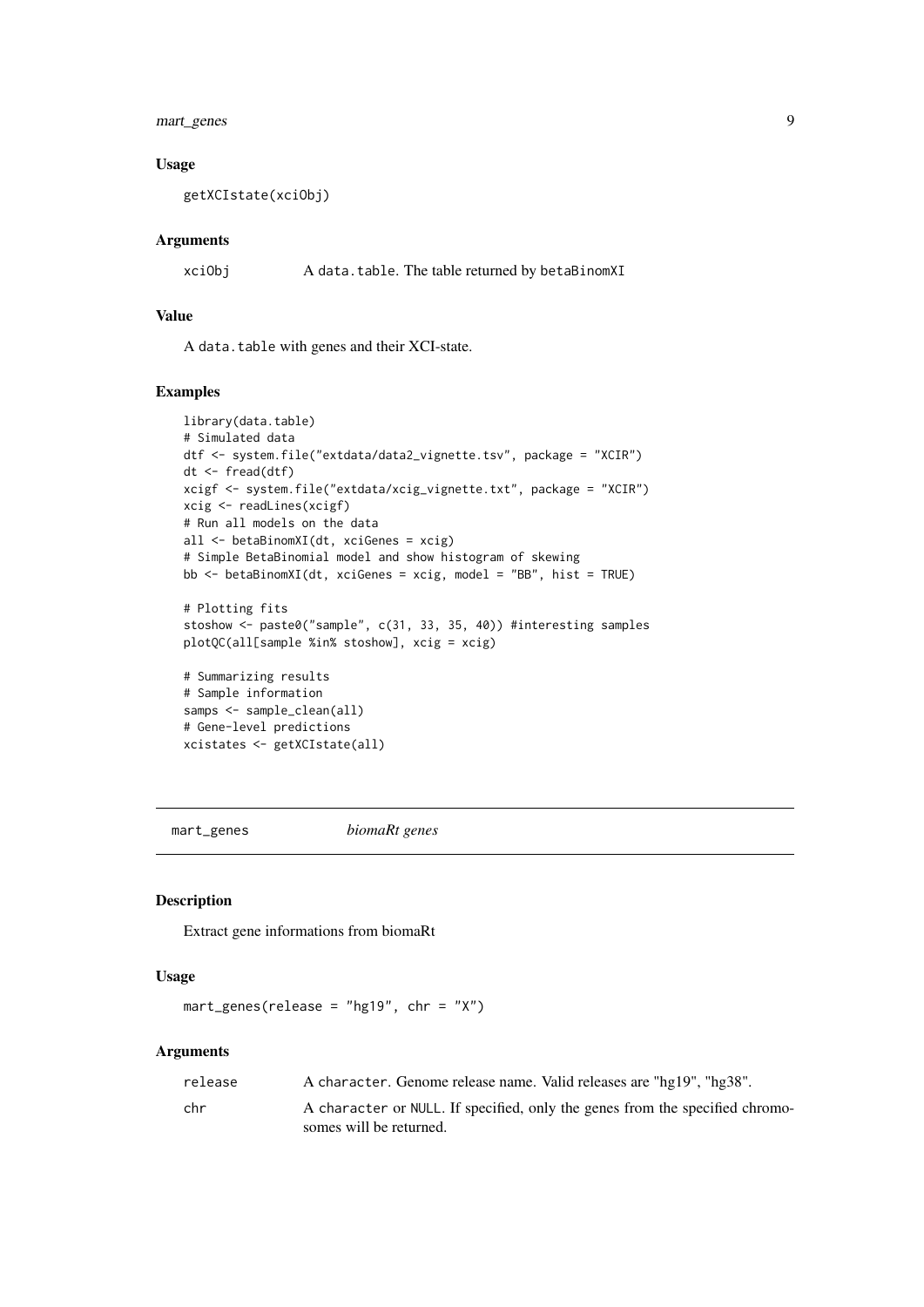<span id="page-8-0"></span>mart\_genes 9

#### Usage

getXCIstate(xciObj)

#### Arguments

xciObj A data.table. The table returned by betaBinomXI

#### Value

A data.table with genes and their XCI-state.

#### Examples

```
library(data.table)
# Simulated data
dtf <- system.file("extdata/data2_vignette.tsv", package = "XCIR")
dt <- fread(dtf)
xcigf <- system.file("extdata/xcig_vignette.txt", package = "XCIR")
xcig <- readLines(xcigf)
# Run all models on the data
all <- betaBinomXI(dt, xciGenes = xcig)
# Simple BetaBinomial model and show histogram of skewing
bb \leq betaBinomXI(dt, xciGenes = xcig, model = "BB", hist = TRUE)
# Plotting fits
stoshow <- paste0("sample", c(31, 33, 35, 40)) #interesting samples
plotQC(all[sample %in% stoshow], xcig = xcig)
# Summarizing results
# Sample information
samps <- sample_clean(all)
# Gene-level predictions
xcistates <- getXCIstate(all)
```
mart\_genes *biomaRt genes*

#### Description

Extract gene informations from biomaRt

#### Usage

```
mart\_genes(release = "hg19", chr = "X")
```
#### Arguments

| release | A character. Genome release name. Valid releases are "hg19", "hg38".         |
|---------|------------------------------------------------------------------------------|
| chr     | A character or NULL. If specified, only the genes from the specified chromo- |
|         | somes will be returned.                                                      |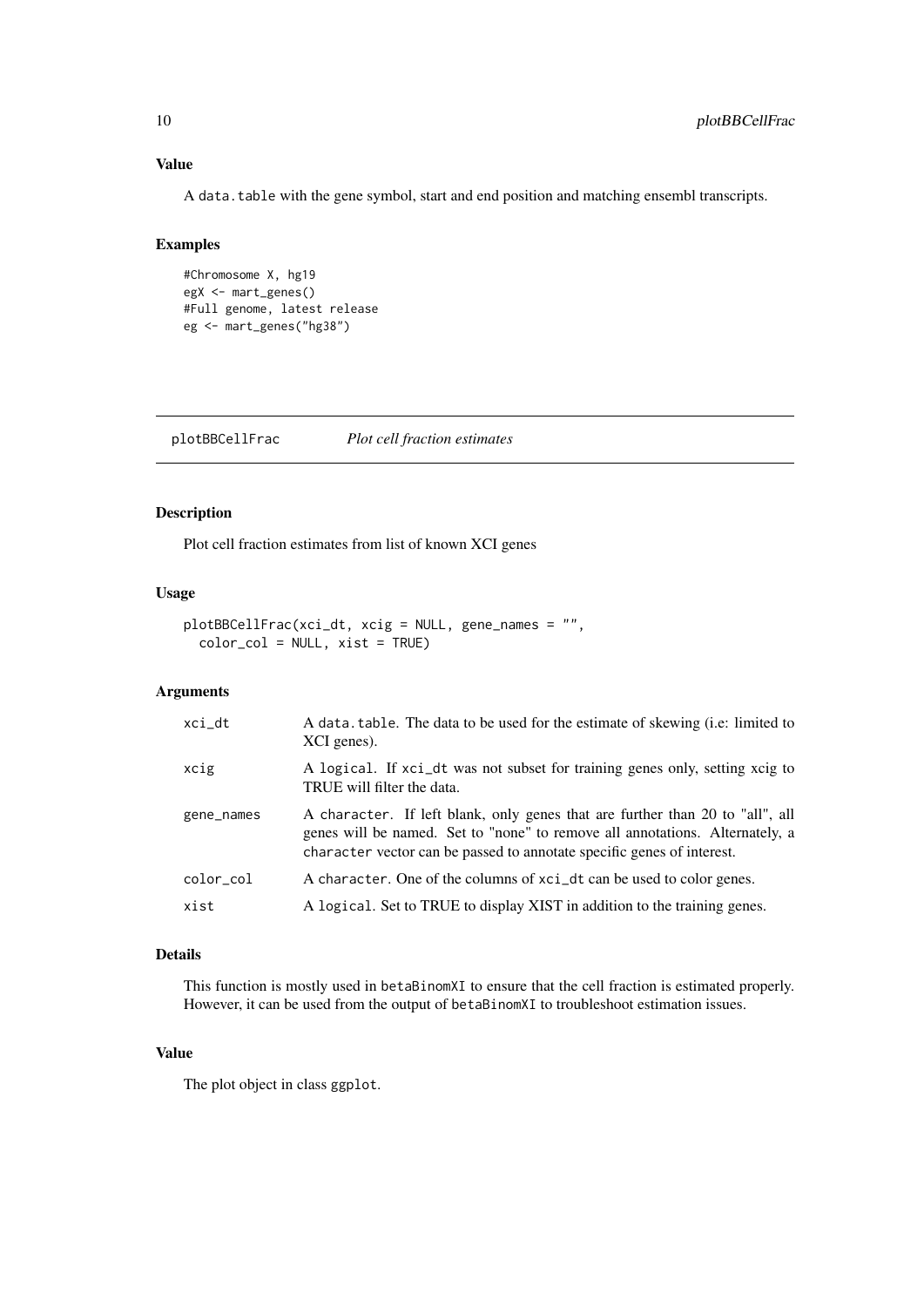#### Value

A data.table with the gene symbol, start and end position and matching ensembl transcripts.

#### Examples

```
#Chromosome X, hg19
egX <- mart_genes()
#Full genome, latest release
eg <- mart_genes("hg38")
```
plotBBCellFrac *Plot cell fraction estimates*

#### Description

Plot cell fraction estimates from list of known XCI genes

#### Usage

```
plotBBCellFrac(xci_dt, xcig = NULL, gene_names = "",
  color\_col = NULL, xist = TRUE)
```
#### Arguments

| xci_dt     | A data table. The data to be used for the estimate of skewing (i.e. limited to<br>XCI genes).                                                                                                                                           |
|------------|-----------------------------------------------------------------------------------------------------------------------------------------------------------------------------------------------------------------------------------------|
| xcig       | A logical. If xci_dt was not subset for training genes only, setting xcig to<br>TRUE will filter the data.                                                                                                                              |
| gene_names | A character. If left blank, only genes that are further than 20 to "all", all<br>genes will be named. Set to "none" to remove all annotations. Alternately, a<br>character vector can be passed to annotate specific genes of interest. |
| color_col  | A character. One of the columns of xci_dt can be used to color genes.                                                                                                                                                                   |
| xist       | A logical. Set to TRUE to display XIST in addition to the training genes.                                                                                                                                                               |

#### Details

This function is mostly used in betaBinomXI to ensure that the cell fraction is estimated properly. However, it can be used from the output of betaBinomXI to troubleshoot estimation issues.

#### Value

The plot object in class ggplot.

<span id="page-9-0"></span>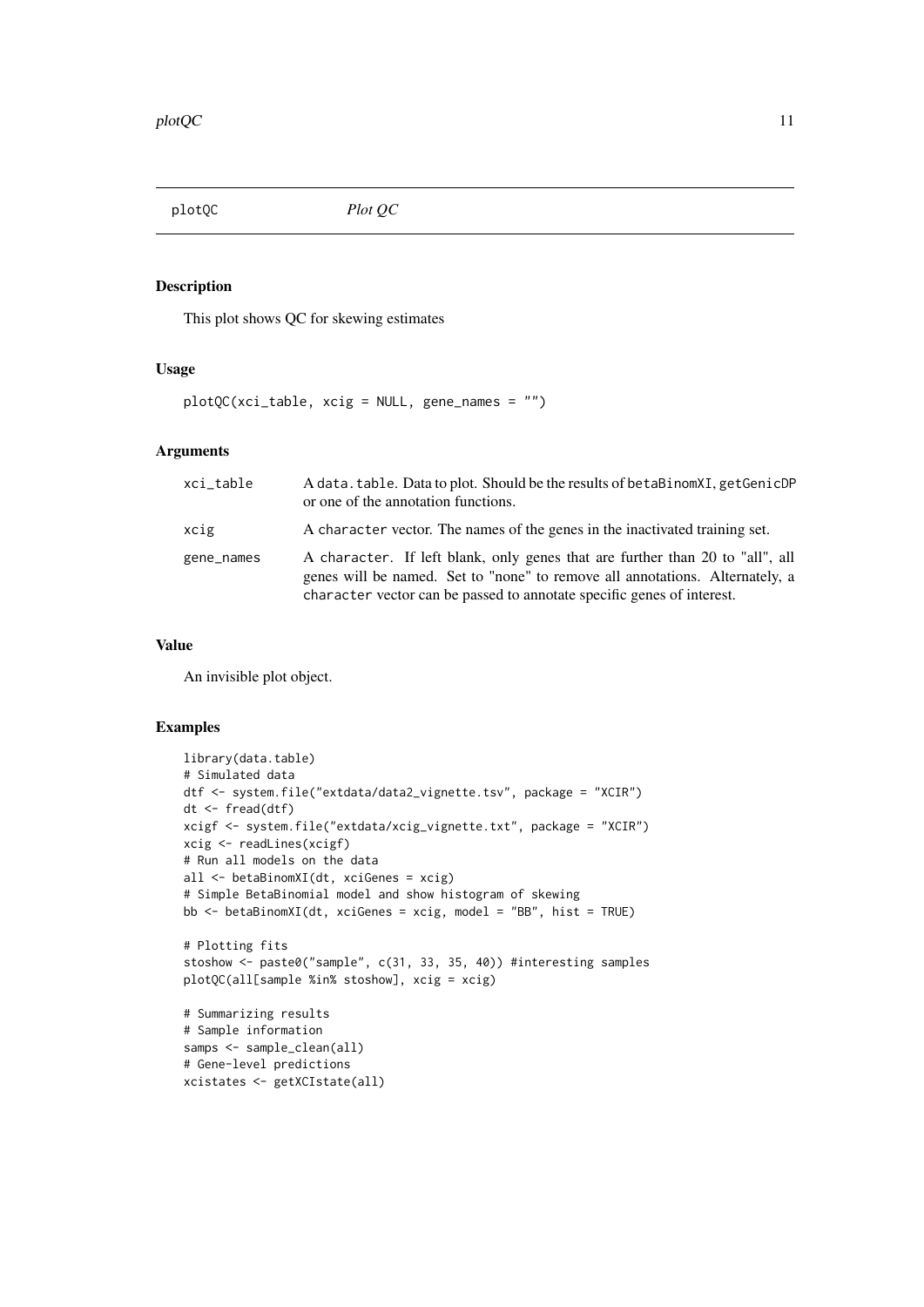<span id="page-10-0"></span>plotQC *Plot QC*

#### Description

This plot shows QC for skewing estimates

#### Usage

plotQC(xci\_table, xcig = NULL, gene\_names = "")

#### Arguments

| xci_table  | A data. table. Data to plot. Should be the results of betaBinomXI, getGenicDP<br>or one of the annotation functions.                                                                                                                    |
|------------|-----------------------------------------------------------------------------------------------------------------------------------------------------------------------------------------------------------------------------------------|
| xcig       | A character vector. The names of the genes in the inactivated training set.                                                                                                                                                             |
| gene_names | A character. If left blank, only genes that are further than 20 to "all", all<br>genes will be named. Set to "none" to remove all annotations. Alternately, a<br>character vector can be passed to annotate specific genes of interest. |

#### Value

An invisible plot object.

```
library(data.table)
# Simulated data
dtf <- system.file("extdata/data2_vignette.tsv", package = "XCIR")
dt <- fread(dtf)
xcigf <- system.file("extdata/xcig_vignette.txt", package = "XCIR")
xcig <- readLines(xcigf)
# Run all models on the data
all <- betaBinomXI(dt, xciGenes = xcig)
# Simple BetaBinomial model and show histogram of skewing
bb \leq betaBinomXI(dt, xciGenes = xcig, model = "BB", hist = TRUE)
# Plotting fits
stoshow <- paste0("sample", c(31, 33, 35, 40)) #interesting samples
plotQC(all[sample %in% stoshow], xcig = xcig)
# Summarizing results
# Sample information
samps <- sample_clean(all)
# Gene-level predictions
xcistates <- getXCIstate(all)
```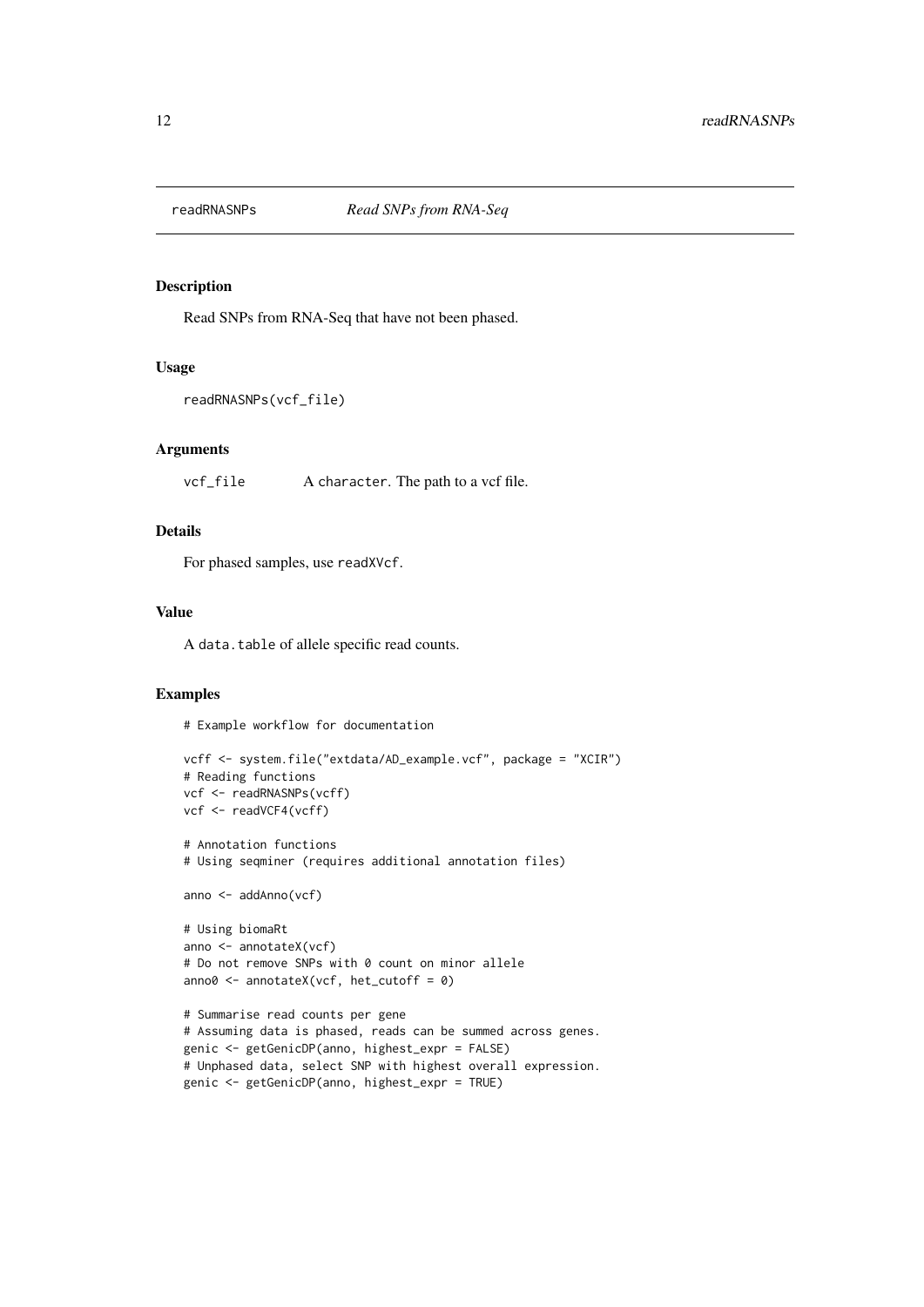<span id="page-11-0"></span>

#### Description

Read SNPs from RNA-Seq that have not been phased.

#### Usage

```
readRNASNPs(vcf_file)
```
#### Arguments

vcf\_file A character. The path to a vcf file.

#### Details

For phased samples, use readXVcf.

#### Value

A data.table of allele specific read counts.

#### Examples

# Example workflow for documentation

```
vcff <- system.file("extdata/AD_example.vcf", package = "XCIR")
# Reading functions
vcf <- readRNASNPs(vcff)
vcf <- readVCF4(vcff)
# Annotation functions
# Using seqminer (requires additional annotation files)
anno <- addAnno(vcf)
# Using biomaRt
anno <- annotateX(vcf)
# Do not remove SNPs with 0 count on minor allele
anno0 \le - annotateX(vcf, het_cutoff = 0)
# Summarise read counts per gene
# Assuming data is phased, reads can be summed across genes.
genic <- getGenicDP(anno, highest_expr = FALSE)
# Unphased data, select SNP with highest overall expression.
genic <- getGenicDP(anno, highest_expr = TRUE)
```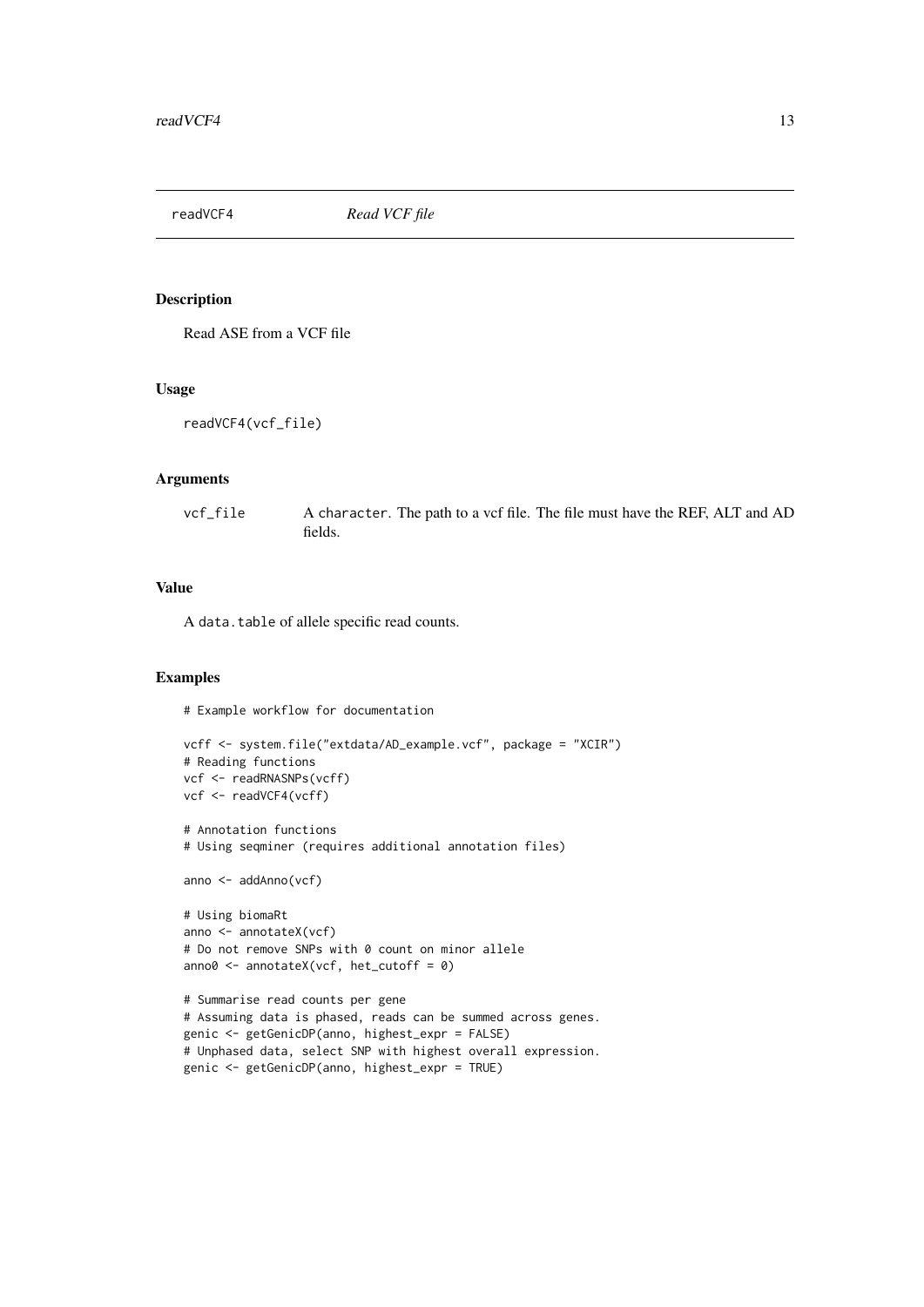<span id="page-12-0"></span>

#### Description

Read ASE from a VCF file

#### Usage

```
readVCF4(vcf_file)
```
#### Arguments

vcf\_file A character. The path to a vcf file. The file must have the REF, ALT and AD fields.

#### Value

A data.table of allele specific read counts.

#### Examples

# Example workflow for documentation

```
vcff <- system.file("extdata/AD_example.vcf", package = "XCIR")
# Reading functions
vcf <- readRNASNPs(vcff)
vcf <- readVCF4(vcff)
# Annotation functions
# Using seqminer (requires additional annotation files)
anno <- addAnno(vcf)
# Using biomaRt
anno <- annotateX(vcf)
# Do not remove SNPs with 0 count on minor allele
anno0 <- annotateX(vcf, het_cutoff = 0)
# Summarise read counts per gene
# Assuming data is phased, reads can be summed across genes.
genic <- getGenicDP(anno, highest_expr = FALSE)
# Unphased data, select SNP with highest overall expression.
genic <- getGenicDP(anno, highest_expr = TRUE)
```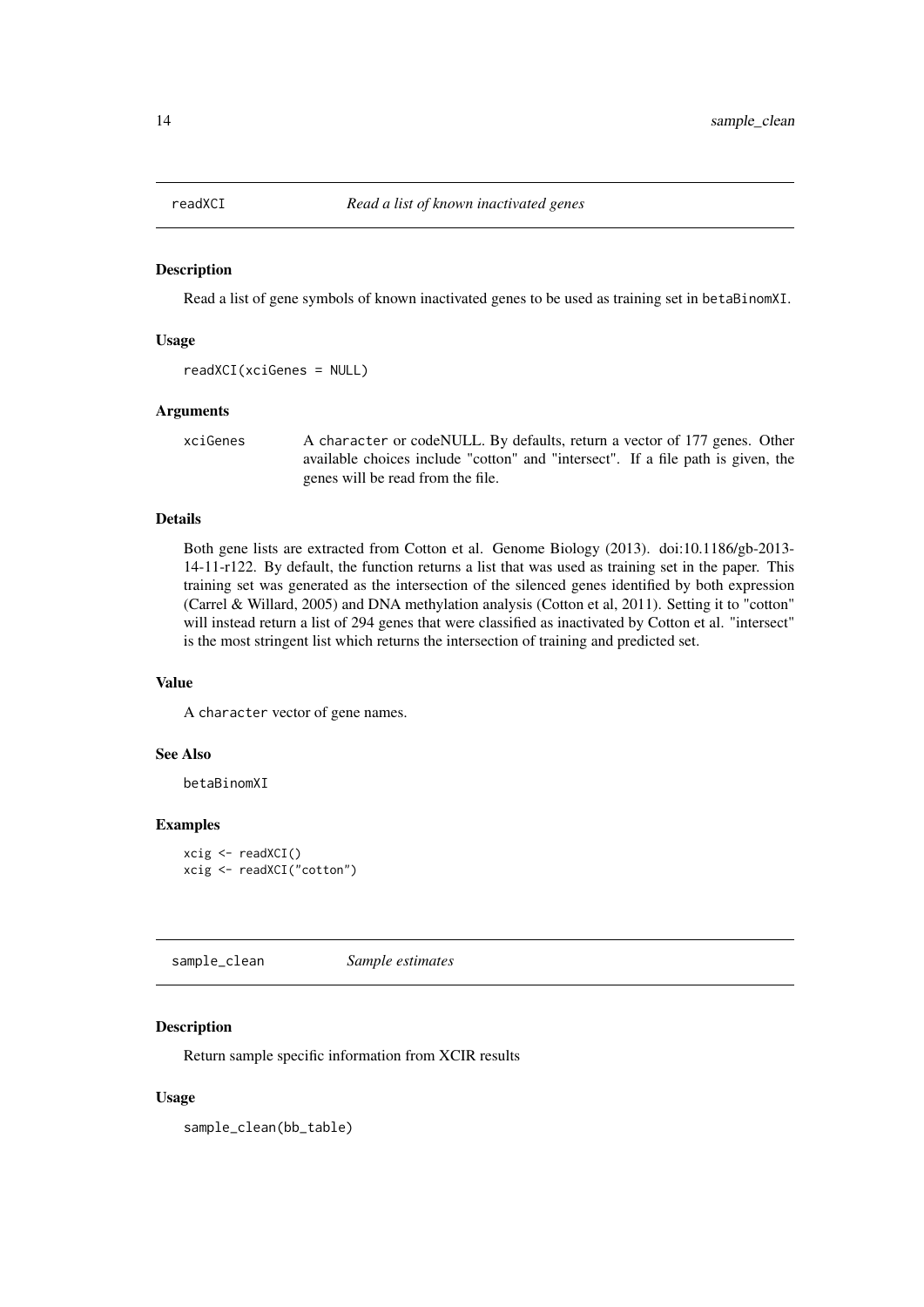<span id="page-13-0"></span>

#### Description

Read a list of gene symbols of known inactivated genes to be used as training set in betaBinomXI.

#### Usage

```
readXCI(xciGenes = NULL)
```
#### Arguments

xciGenes A character or codeNULL. By defaults, return a vector of 177 genes. Other available choices include "cotton" and "intersect". If a file path is given, the genes will be read from the file.

#### Details

Both gene lists are extracted from Cotton et al. Genome Biology (2013). doi:10.1186/gb-2013- 14-11-r122. By default, the function returns a list that was used as training set in the paper. This training set was generated as the intersection of the silenced genes identified by both expression (Carrel & Willard, 2005) and DNA methylation analysis (Cotton et al, 2011). Setting it to "cotton" will instead return a list of 294 genes that were classified as inactivated by Cotton et al. "intersect" is the most stringent list which returns the intersection of training and predicted set.

#### Value

A character vector of gene names.

#### See Also

betaBinomXI

#### Examples

```
xcig <- readXCI()
xcig <- readXCI("cotton")
```
sample\_clean *Sample estimates*

#### Description

Return sample specific information from XCIR results

#### Usage

sample\_clean(bb\_table)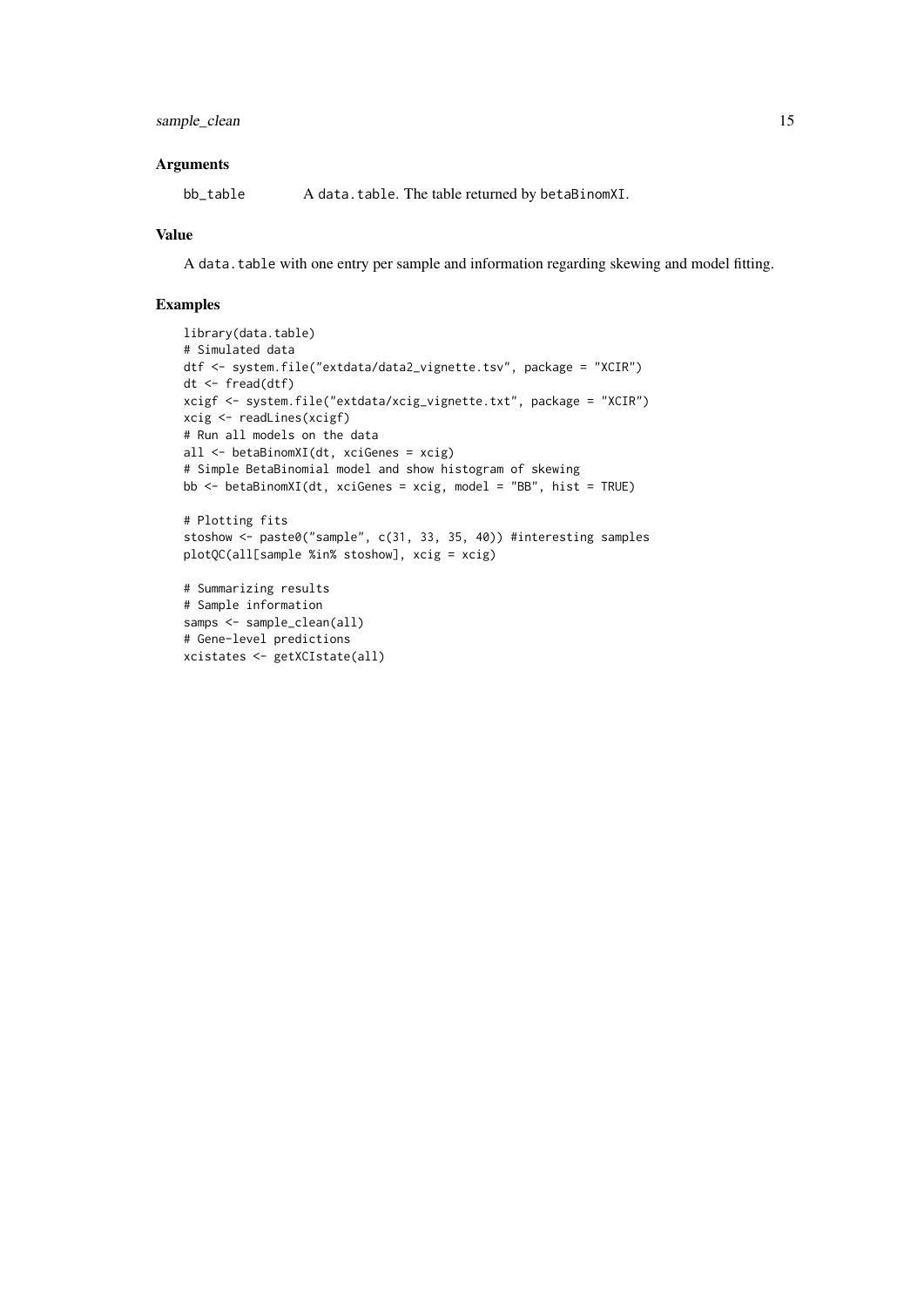#### Arguments

bb\_table A data.table. The table returned by betaBinomXI.

#### Value

A data.table with one entry per sample and information regarding skewing and model fitting.

```
library(data.table)
# Simulated data
dtf <- system.file("extdata/data2_vignette.tsv", package = "XCIR")
dt <- fread(dtf)
xcigf <- system.file("extdata/xcig_vignette.txt", package = "XCIR")
xcig <- readLines(xcigf)
# Run all models on the data
all <- betaBinomXI(dt, xciGenes = xcig)
# Simple BetaBinomial model and show histogram of skewing
bb <- betaBinomXI(dt, xciGenes = xcig, model = "BB", hist = TRUE)
# Plotting fits
stoshow <- paste0("sample", c(31, 33, 35, 40)) #interesting samples
plotQC(all[sample %in% stoshow], xcig = xcig)
# Summarizing results
# Sample information
samps <- sample_clean(all)
# Gene-level predictions
xcistates <- getXCIstate(all)
```